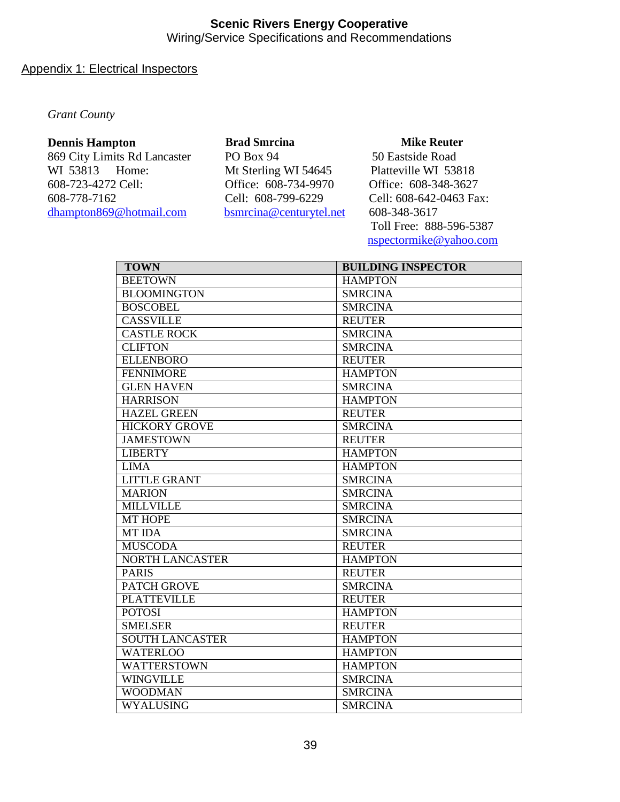## Appendix 1: Electrical Inspectors

*Grant County*

#### **Dennis Hampton**

869 City Limits Rd Lancaster WI 53813 Home: 608-723-4272 Cell: 608-778-7162 [dhampton869@hotmail.com](mailto:dhampton869@hotmail.com)

**Brad Smrcina**  PO Box 94 Mt Sterling WI 54645 Office: 608-734-9970 Cell: 608-799-6229 [bsmrcina@centurytel.net](mailto:bsmrcina@centurytel.net)

### **Mike Reuter**

50 Eastside Road Platteville WI 53818 Office: 608-348-3627 Cell: 608-642-0463 Fax: 608-348-3617 Toll Free: 888-596-5387 [nspectormike@yahoo.com](mailto:nspectormike@yahoo.com)

| <b>TOWN</b>            | <b>BUILDING INSPECTOR</b> |
|------------------------|---------------------------|
| <b>BEETOWN</b>         | <b>HAMPTON</b>            |
| <b>BLOOMINGTON</b>     | <b>SMRCINA</b>            |
| <b>BOSCOBEL</b>        | <b>SMRCINA</b>            |
| <b>CASSVILLE</b>       | <b>REUTER</b>             |
| <b>CASTLE ROCK</b>     | <b>SMRCINA</b>            |
| <b>CLIFTON</b>         | <b>SMRCINA</b>            |
| <b>ELLENBORO</b>       | <b>REUTER</b>             |
| <b>FENNIMORE</b>       | <b>HAMPTON</b>            |
| <b>GLEN HAVEN</b>      | <b>SMRCINA</b>            |
| <b>HARRISON</b>        | <b>HAMPTON</b>            |
| <b>HAZEL GREEN</b>     | <b>REUTER</b>             |
| <b>HICKORY GROVE</b>   | <b>SMRCINA</b>            |
| <b>JAMESTOWN</b>       | <b>REUTER</b>             |
| <b>LIBERTY</b>         | <b>HAMPTON</b>            |
| <b>LIMA</b>            | <b>HAMPTON</b>            |
| <b>LITTLE GRANT</b>    | <b>SMRCINA</b>            |
| <b>MARION</b>          | <b>SMRCINA</b>            |
| <b>MILLVILLE</b>       | <b>SMRCINA</b>            |
| <b>MT HOPE</b>         | <b>SMRCINA</b>            |
| <b>MT IDA</b>          | <b>SMRCINA</b>            |
| <b>MUSCODA</b>         | <b>REUTER</b>             |
| <b>NORTH LANCASTER</b> | <b>HAMPTON</b>            |
| <b>PARIS</b>           | <b>REUTER</b>             |
| <b>PATCH GROVE</b>     | <b>SMRCINA</b>            |
| <b>PLATTEVILLE</b>     | <b>REUTER</b>             |
| <b>POTOSI</b>          | <b>HAMPTON</b>            |
| <b>SMELSER</b>         | <b>REUTER</b>             |
| <b>SOUTH LANCASTER</b> | <b>HAMPTON</b>            |
| <b>WATERLOO</b>        | <b>HAMPTON</b>            |
| <b>WATTERSTOWN</b>     | <b>HAMPTON</b>            |
| <b>WINGVILLE</b>       | <b>SMRCINA</b>            |
| <b>WOODMAN</b>         | <b>SMRCINA</b>            |
| WYALUSING              | <b>SMRCINA</b>            |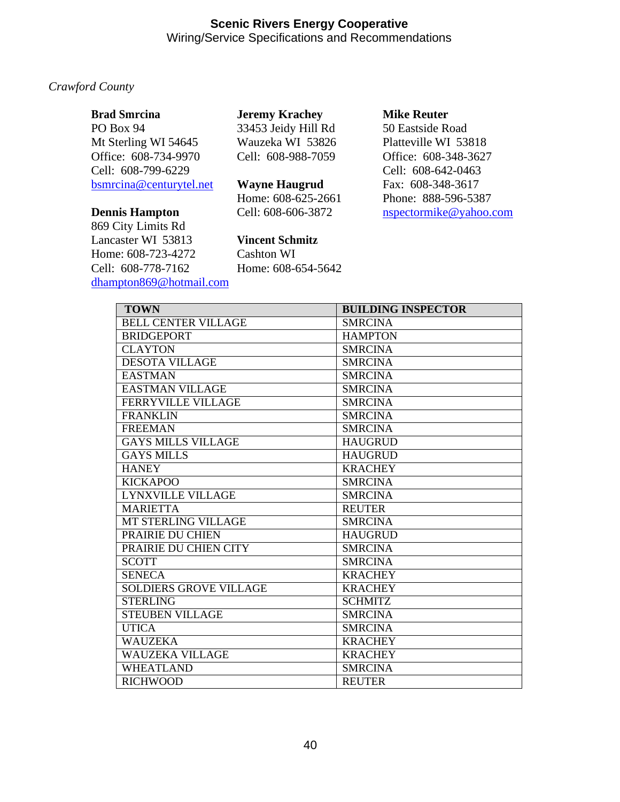## *Crawford County*

| <b>Brad Smrcina</b> |  |
|---------------------|--|
|---------------------|--|

PO Box 94 Mt Sterling WI 54645 Office: 608-734-9970 Cell: 608-799-6229 [bsmrcina@centurytel.net](mailto:bsmrcina@centurytel.net)

### **Dennis Hampton**

869 City Limits Rd Lancaster WI 53813 Home: 608-723-4272 Cell: 608-778-7162 [dhampton869@hotmail.com](mailto:dhampton869@hotmail.com) **Jeremy Krachey**  33453 Jeidy Hill Rd Wauzeka WI 53826 Cell: 608-988-7059

**Wayne Haugrud**  Home: 608-625-2661 Cell: 608-606-3872

**Vincent Schmitz** 

Cashton WI Home: 608-654-5642

### **Mike Reuter**

50 Eastside Road Platteville WI 53818 Office: 608-348-3627 Cell: 608-642-0463 Fax: 608-348-3617 Phone: 888-596-5387 [nspectormike@yahoo.com](mailto:nspectormike@yahoo.com)

| <b>TOWN</b>                   | <b>BUILDING INSPECTOR</b> |
|-------------------------------|---------------------------|
| <b>BELL CENTER VILLAGE</b>    | <b>SMRCINA</b>            |
| <b>BRIDGEPORT</b>             | <b>HAMPTON</b>            |
| <b>CLAYTON</b>                | <b>SMRCINA</b>            |
| <b>DESOTA VILLAGE</b>         | <b>SMRCINA</b>            |
| <b>EASTMAN</b>                | <b>SMRCINA</b>            |
| <b>EASTMAN VILLAGE</b>        | <b>SMRCINA</b>            |
| <b>FERRYVILLE VILLAGE</b>     | <b>SMRCINA</b>            |
| <b>FRANKLIN</b>               | <b>SMRCINA</b>            |
| <b>FREEMAN</b>                | <b>SMRCINA</b>            |
| <b>GAYS MILLS VILLAGE</b>     | <b>HAUGRUD</b>            |
| <b>GAYS MILLS</b>             | <b>HAUGRUD</b>            |
| <b>HANEY</b>                  | <b>KRACHEY</b>            |
| <b>KICKAPOO</b>               | <b>SMRCINA</b>            |
| <b>LYNXVILLE VILLAGE</b>      | <b>SMRCINA</b>            |
| <b>MARIETTA</b>               | <b>REUTER</b>             |
| <b>MT STERLING VILLAGE</b>    | <b>SMRCINA</b>            |
| PRAIRIE DU CHIEN              | <b>HAUGRUD</b>            |
| PRAIRIE DU CHIEN CITY         | <b>SMRCINA</b>            |
| <b>SCOTT</b>                  | <b>SMRCINA</b>            |
| <b>SENECA</b>                 | <b>KRACHEY</b>            |
| <b>SOLDIERS GROVE VILLAGE</b> | <b>KRACHEY</b>            |
| <b>STERLING</b>               | <b>SCHMITZ</b>            |
| <b>STEUBEN VILLAGE</b>        | <b>SMRCINA</b>            |
| <b>UTICA</b>                  | <b>SMRCINA</b>            |
| <b>WAUZEKA</b>                | <b>KRACHEY</b>            |
| <b>WAUZEKA VILLAGE</b>        | <b>KRACHEY</b>            |
| <b>WHEATLAND</b>              | <b>SMRCINA</b>            |
| <b>RICHWOOD</b>               | <b>REUTER</b>             |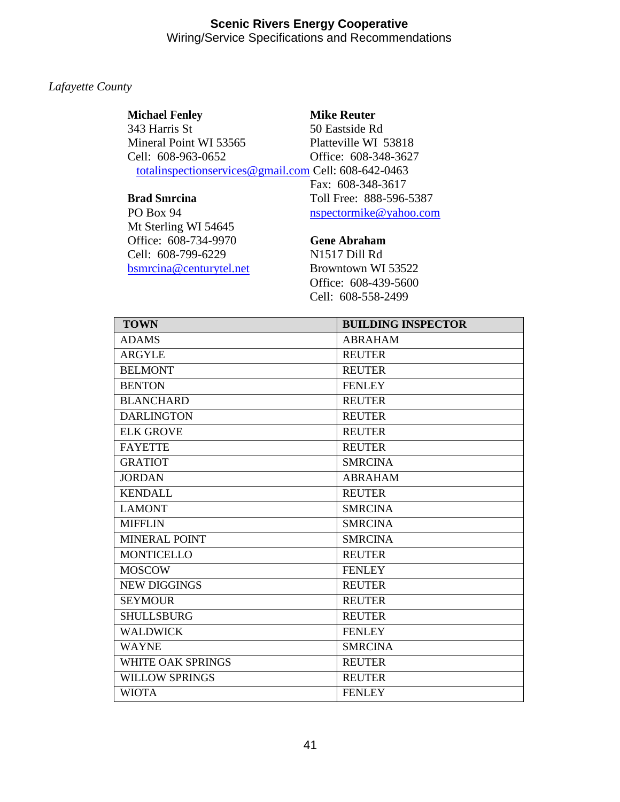## *Lafayette County*

### **Michael Fenley**  343 Harris St Mineral Point WI 53565 Cell: 608-963-0652

#### **Mike Reuter**

50 Eastside Rd Platteville WI 53818 Office: 608-348-3627 [totalinspectionservices@gmail.com](mailto:totalinspectionservices@gmail.com) Cell: 608-642-0463 Fax: 608-348-3617 Toll Free: 888-596-5387 [nspectormike@yahoo.com](mailto:nspectormike@yahoo.com)

### **Brad Smrcina**

PO Box 94 Mt Sterling WI 54645 Office: 608-734-9970 Cell: 608-799-6229 [bsmrcina@centurytel.net](mailto:bsmrcina@centurytel.net) Browntown WI 53522

### **Gene Abraham**

N1517 Dill Rd Office: 608-439-5600 Cell: 608-558-2499

| <b>TOWN</b>           | <b>BUILDING INSPECTOR</b> |
|-----------------------|---------------------------|
| <b>ADAMS</b>          | <b>ABRAHAM</b>            |
| <b>ARGYLE</b>         | <b>REUTER</b>             |
| <b>BELMONT</b>        | <b>REUTER</b>             |
| <b>BENTON</b>         | <b>FENLEY</b>             |
| <b>BLANCHARD</b>      | <b>REUTER</b>             |
| <b>DARLINGTON</b>     | <b>REUTER</b>             |
| <b>ELK GROVE</b>      | <b>REUTER</b>             |
| <b>FAYETTE</b>        | <b>REUTER</b>             |
| <b>GRATIOT</b>        | <b>SMRCINA</b>            |
| <b>JORDAN</b>         | <b>ABRAHAM</b>            |
| <b>KENDALL</b>        | <b>REUTER</b>             |
| <b>LAMONT</b>         | <b>SMRCINA</b>            |
| <b>MIFFLIN</b>        | <b>SMRCINA</b>            |
| <b>MINERAL POINT</b>  | <b>SMRCINA</b>            |
| <b>MONTICELLO</b>     | <b>REUTER</b>             |
| <b>MOSCOW</b>         | <b>FENLEY</b>             |
| <b>NEW DIGGINGS</b>   | <b>REUTER</b>             |
| <b>SEYMOUR</b>        | <b>REUTER</b>             |
| <b>SHULLSBURG</b>     | <b>REUTER</b>             |
| <b>WALDWICK</b>       | <b>FENLEY</b>             |
| <b>WAYNE</b>          | <b>SMRCINA</b>            |
| WHITE OAK SPRINGS     | <b>REUTER</b>             |
| <b>WILLOW SPRINGS</b> | <b>REUTER</b>             |
| <b>WIOTA</b>          | <b>FENLEY</b>             |